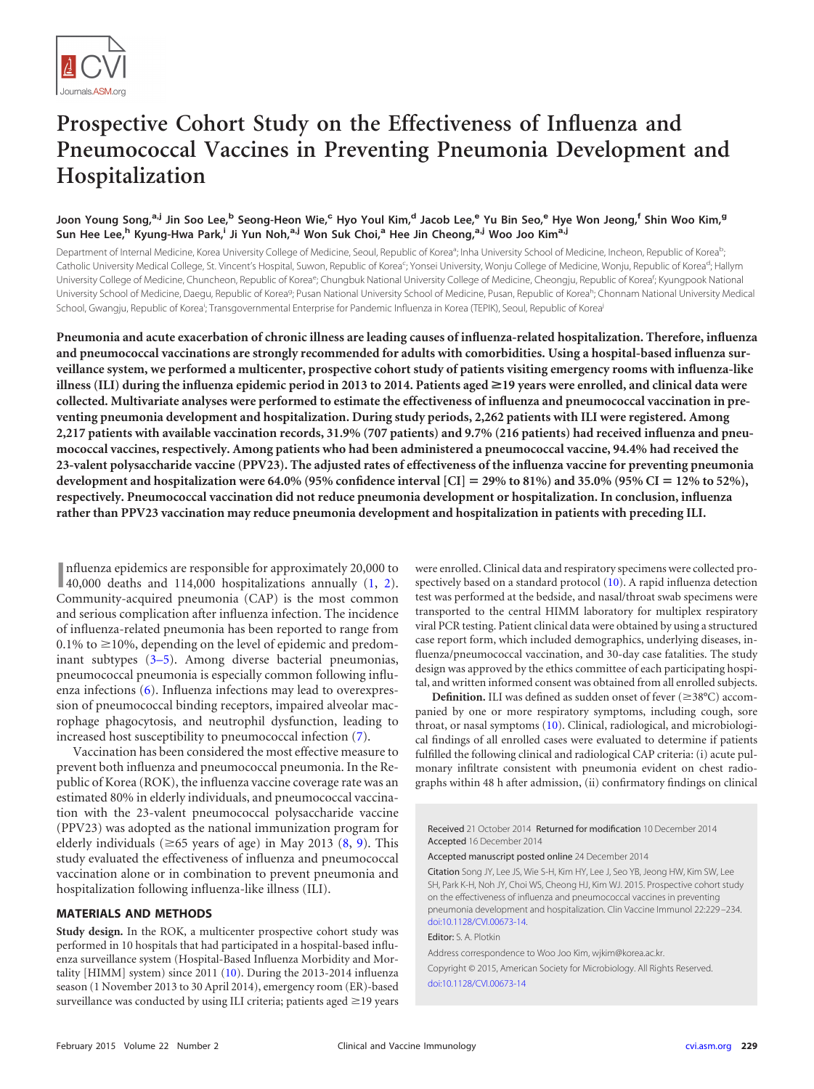

# **Prospective Cohort Study on the Effectiveness of Influenza and Pneumococcal Vaccines in Preventing Pneumonia Development and Hospitalization**

# Joon Young Song,<sup>a,j</sup> Jin Soo Lee,<sup>b</sup> Seong-Heon Wie,<sup>c</sup> Hyo Youl Kim,<sup>d</sup> Jacob Lee,<sup>e</sup> Yu Bin Seo,<sup>e</sup> Hye Won Jeong,<sup>f</sup> Shin Woo Kim,<sup>g</sup> **Sun Hee Lee,<sup>h</sup> Kyung-Hwa Park,<sup>i</sup> Ji Yun Noh,a,j Won Suk Choi,<sup>a</sup> Hee Jin Cheong,a,j Woo Joo Kima,j**

Department of Internal Medicine, Korea University College of Medicine, Seoul, Republic of Korea<sup>a</sup>; Inha University School of Medicine, Incheon, Republic of Korea<sup>b</sup> ; Catholic University Medical College, St. Vincent's Hospital, Suwon, Republic of Korea<sup>c</sup>; Yonsei University, Wonju College of Medicine, Wonju, Republic of Korea<sup>d</sup>; Hallym University College of Medicine, Chuncheon, Republic of Korea<sup>e</sup>; Chungbuk National University College of Medicine, Cheongju, Republic of Korea<sup>f</sup>; Kyungpook National University School of Medicine, Daegu, Republic of Korea<sup>g</sup>; Pusan National University School of Medicine, Pusan, Republic of Korea<sup>h</sup>; Chonnam National University Medical School, Gwangju, Republic of Korea<sup>i</sup>; Transgovernmental Enterprise for Pandemic Influenza in Korea (TEPIK), Seoul, Republic of Korea<sup>i</sup>

**Pneumonia and acute exacerbation of chronic illness are leading causes of influenza-related hospitalization. Therefore, influenza and pneumococcal vaccinations are strongly recommended for adults with comorbidities. Using a hospital-based influenza surveillance system, we performed a multicenter, prospective cohort study of patients visiting emergency rooms with influenza-like illness (ILI) during the influenza epidemic period in 2013 to 2014. Patients aged** >**19 years were enrolled, and clinical data were collected. Multivariate analyses were performed to estimate the effectiveness of influenza and pneumococcal vaccination in preventing pneumonia development and hospitalization. During study periods, 2,262 patients with ILI were registered. Among 2,217 patients with available vaccination records, 31.9% (707 patients) and 9.7% (216 patients) had received influenza and pneumococcal vaccines, respectively. Among patients who had been administered a pneumococcal vaccine, 94.4% had received the 23-valent polysaccharide vaccine (PPV23). The adjusted rates of effectiveness of the influenza vaccine for preventing pneumonia development and hospitalization were 64.0% (95% confidence interval [CI]** - **29% to 81%) and 35.0% (95% CI** - **12% to 52%), respectively. Pneumococcal vaccination did not reduce pneumonia development or hospitalization. In conclusion, influenza rather than PPV23 vaccination may reduce pneumonia development and hospitalization in patients with preceding ILI.**

**I** influenza epidemics are responsible for approximately 20,000 to 40,000 deaths and 114,000 hospitalizations annually  $(1, 2)$  $(1, 2)$  $(1, 2)$ . nfluenza epidemics are responsible for approximately 20,000 to Community-acquired pneumonia (CAP) is the most common and serious complication after influenza infection. The incidence of influenza-related pneumonia has been reported to range from  $0.1\%$  to  $\geq$ 10%, depending on the level of epidemic and predominant subtypes [\(3](#page-4-2)[–](#page-4-3)[5\)](#page-4-4). Among diverse bacterial pneumonias, pneumococcal pneumonia is especially common following influenza infections [\(6\)](#page-4-5). Influenza infections may lead to overexpression of pneumococcal binding receptors, impaired alveolar macrophage phagocytosis, and neutrophil dysfunction, leading to increased host susceptibility to pneumococcal infection [\(7\)](#page-4-6).

Vaccination has been considered the most effective measure to prevent both influenza and pneumococcal pneumonia. In the Republic of Korea (ROK), the influenza vaccine coverage rate was an estimated 80% in elderly individuals, and pneumococcal vaccination with the 23-valent pneumococcal polysaccharide vaccine (PPV23) was adopted as the national immunization program for elderly individuals ( $\geq 65$  years of age) in May 2013 [\(8,](#page-4-7) [9\)](#page-4-8). This study evaluated the effectiveness of influenza and pneumococcal vaccination alone or in combination to prevent pneumonia and hospitalization following influenza-like illness (ILI).

# **MATERIALS AND METHODS**

**Study design.** In the ROK, a multicenter prospective cohort study was performed in 10 hospitals that had participated in a hospital-based influenza surveillance system (Hospital-Based Influenza Morbidity and Mortality [HIMM] system) since 2011 [\(10\)](#page-4-9). During the 2013-2014 influenza season (1 November 2013 to 30 April 2014), emergency room (ER)-based surveillance was conducted by using ILI criteria; patients aged ≥19 years

were enrolled. Clinical data and respiratory specimens were collected prospectively based on a standard protocol [\(10\)](#page-4-9). A rapid influenza detection test was performed at the bedside, and nasal/throat swab specimens were transported to the central HIMM laboratory for multiplex respiratory viral PCR testing. Patient clinical data were obtained by using a structured case report form, which included demographics, underlying diseases, influenza/pneumococcal vaccination, and 30-day case fatalities. The study design was approved by the ethics committee of each participating hospital, and written informed consent was obtained from all enrolled subjects.

Definition. ILI was defined as sudden onset of fever ( $\geq$ 38°C) accompanied by one or more respiratory symptoms, including cough, sore throat, or nasal symptoms [\(10\)](#page-4-9). Clinical, radiological, and microbiological findings of all enrolled cases were evaluated to determine if patients fulfilled the following clinical and radiological CAP criteria: (i) acute pulmonary infiltrate consistent with pneumonia evident on chest radiographs within 48 h after admission, (ii) confirmatory findings on clinical

Received 21 October 2014 Returned for modification 10 December 2014 Accepted 16 December 2014

Accepted manuscript posted online 24 December 2014

Citation Song JY, Lee JS, Wie S-H, Kim HY, Lee J, Seo YB, Jeong HW, Kim SW, Lee SH, Park K-H, Noh JY, Choi WS, Cheong HJ, Kim WJ. 2015. Prospective cohort study on the effectiveness of influenza and pneumococcal vaccines in preventing pneumonia development and hospitalization. Clin Vaccine Immunol 22:229 –234. [doi:10.1128/CVI.00673-14.](http://dx.doi.org/10.1128/CVI.00673-14)

Editor: S. A. Plotkin

Address correspondence to Woo Joo Kim, wjkim@korea.ac.kr. Copyright © 2015, American Society for Microbiology. All Rights Reserved. [doi:10.1128/CVI.00673-14](http://dx.doi.org/10.1128/CVI.00673-14)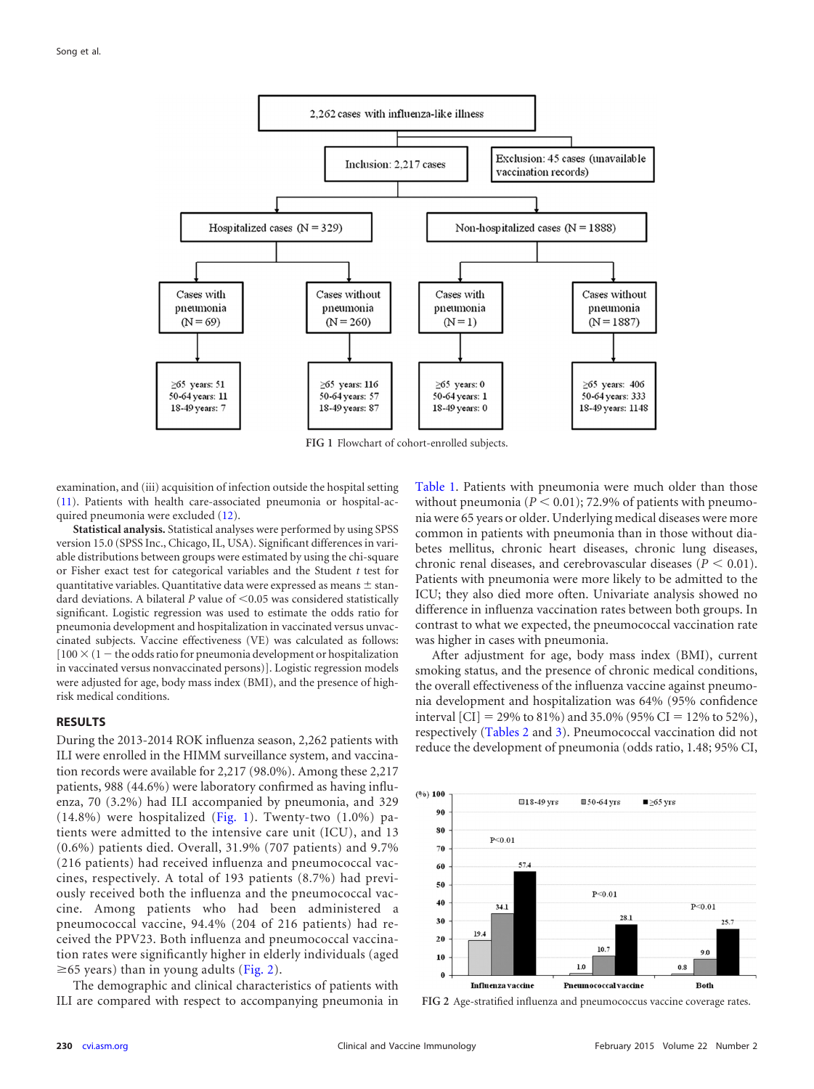

<span id="page-1-0"></span>**FIG 1** Flowchart of cohort-enrolled subjects.

examination, and (iii) acquisition of infection outside the hospital setting [\(11\)](#page-4-10). Patients with health care-associated pneumonia or hospital-acquired pneumonia were excluded [\(12\)](#page-4-11).

**Statistical analysis.** Statistical analyses were performed by using SPSS version 15.0 (SPSS Inc., Chicago, IL, USA). Significant differences in variable distributions between groups were estimated by using the chi-square or Fisher exact test for categorical variables and the Student *t* test for quantitative variables. Quantitative data were expressed as means  $\pm$  standard deviations. A bilateral  $P$  value of  $\leq 0.05$  was considered statistically significant. Logistic regression was used to estimate the odds ratio for pneumonia development and hospitalization in vaccinated versus unvaccinated subjects. Vaccine effectiveness (VE) was calculated as follows:  $[100 \times (1 -$  the odds ratio for pneumonia development or hospitalization in vaccinated versus nonvaccinated persons)]. Logistic regression models were adjusted for age, body mass index (BMI), and the presence of highrisk medical conditions.

### **RESULTS**

During the 2013-2014 ROK influenza season, 2,262 patients with ILI were enrolled in the HIMM surveillance system, and vaccination records were available for 2,217 (98.0%). Among these 2,217 patients, 988 (44.6%) were laboratory confirmed as having influenza, 70 (3.2%) had ILI accompanied by pneumonia, and 329 (14.8%) were hospitalized [\(Fig. 1\)](#page-1-0). Twenty-two (1.0%) patients were admitted to the intensive care unit (ICU), and 13 (0.6%) patients died. Overall, 31.9% (707 patients) and 9.7% (216 patients) had received influenza and pneumococcal vaccines, respectively. A total of 193 patients (8.7%) had previously received both the influenza and the pneumococcal vaccine. Among patients who had been administered a pneumococcal vaccine, 94.4% (204 of 216 patients) had received the PPV23. Both influenza and pneumococcal vaccination rates were significantly higher in elderly individuals (aged  $\geq$  65 years) than in young adults [\(Fig. 2\)](#page-1-1).

The demographic and clinical characteristics of patients with ILI are compared with respect to accompanying pneumonia in [Table 1.](#page-2-0) Patients with pneumonia were much older than those without pneumonia ( $P < 0.01$ ); 72.9% of patients with pneumonia were 65 years or older. Underlying medical diseases were more common in patients with pneumonia than in those without diabetes mellitus, chronic heart diseases, chronic lung diseases, chronic renal diseases, and cerebrovascular diseases  $(P < 0.01)$ . Patients with pneumonia were more likely to be admitted to the ICU; they also died more often. Univariate analysis showed no difference in influenza vaccination rates between both groups. In contrast to what we expected, the pneumococcal vaccination rate was higher in cases with pneumonia.

After adjustment for age, body mass index (BMI), current smoking status, and the presence of chronic medical conditions, the overall effectiveness of the influenza vaccine against pneumonia development and hospitalization was 64% (95% confidence interval [CI] = 29% to 81%) and 35.0% (95% CI = 12% to 52%), respectively [\(Tables 2](#page-2-1) and [3\)](#page-2-2). Pneumococcal vaccination did not reduce the development of pneumonia (odds ratio, 1.48; 95% CI,



<span id="page-1-1"></span>**FIG 2** Age-stratified influenza and pneumococcus vaccine coverage rates.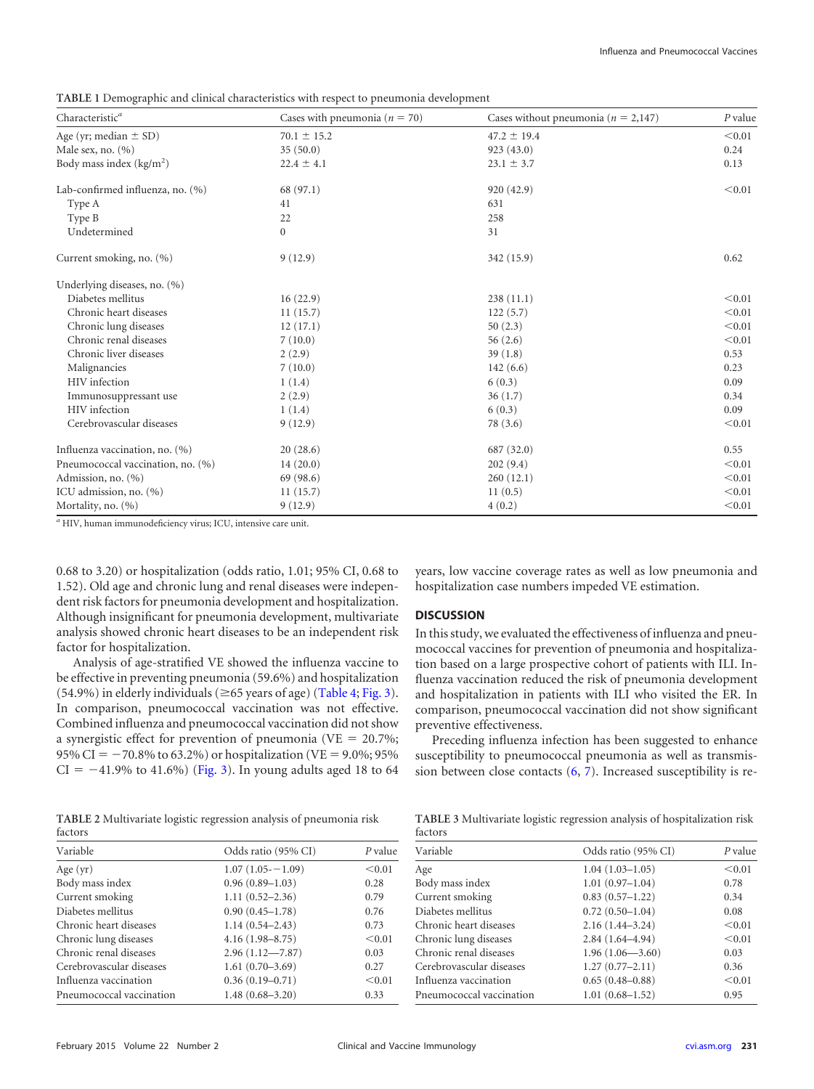<span id="page-2-0"></span>**TABLE 1** Demographic and clinical characteristics with respect to pneumonia development

| Characteristic <sup>a</sup>       | Cases with pneumonia ( $n = 70$ ) | Cases without pneumonia ( $n = 2,147$ ) | P value |
|-----------------------------------|-----------------------------------|-----------------------------------------|---------|
| Age (yr; median $\pm$ SD)         | $70.1 \pm 15.2$                   | $47.2 \pm 19.4$                         | < 0.01  |
| Male sex, no. $(\% )$             | 35(50.0)                          | 923(43.0)                               | 0.24    |
| Body mass index $(kg/m2)$         | $22.4 \pm 4.1$                    | $23.1 \pm 3.7$                          | 0.13    |
| Lab-confirmed influenza, no. (%)  | 68 (97.1)                         | 920 (42.9)                              | < 0.01  |
| Type A                            | 41                                | 631                                     |         |
| Type B                            | 22                                | 258                                     |         |
| Undetermined                      | $\overline{0}$                    | 31                                      |         |
| Current smoking, no. (%)          | 9(12.9)                           | 342 (15.9)                              | 0.62    |
| Underlying diseases, no. (%)      |                                   |                                         |         |
| Diabetes mellitus                 | 16(22.9)                          | 238(11.1)                               | < 0.01  |
| Chronic heart diseases            | 11(15.7)                          | 122(5.7)                                | < 0.01  |
| Chronic lung diseases             | 12(17.1)                          | 50(2.3)                                 | < 0.01  |
| Chronic renal diseases            | 7(10.0)                           | 56(2.6)                                 | < 0.01  |
| Chronic liver diseases            | 2(2.9)                            | 39(1.8)                                 | 0.53    |
| Malignancies                      | 7(10.0)                           | 142(6.6)                                | 0.23    |
| HIV infection                     | 1(1.4)                            | 6(0.3)                                  | 0.09    |
| Immunosuppressant use             | 2(2.9)                            | 36(1.7)                                 | 0.34    |
| HIV infection                     | 1(1.4)                            | 6(0.3)                                  | 0.09    |
| Cerebrovascular diseases          | 9(12.9)                           | 78 (3.6)                                | < 0.01  |
| Influenza vaccination, no. (%)    | 20(28.6)                          | 687 (32.0)                              | 0.55    |
| Pneumococcal vaccination, no. (%) | 14(20.0)                          | 202(9.4)                                | < 0.01  |
| Admission, no. (%)                | 69 (98.6)                         | 260(12.1)                               | < 0.01  |
| ICU admission, no. (%)            | 11(15.7)                          | 11(0.5)                                 | < 0.01  |
| Mortality, no. (%)                | 9(12.9)                           | 4(0.2)                                  | < 0.01  |

*<sup>a</sup>* HIV, human immunodeficiency virus; ICU, intensive care unit.

0.68 to 3.20) or hospitalization (odds ratio, 1.01; 95% CI, 0.68 to 1.52). Old age and chronic lung and renal diseases were independent risk factors for pneumonia development and hospitalization. Although insignificant for pneumonia development, multivariate analysis showed chronic heart diseases to be an independent risk factor for hospitalization.

Analysis of age-stratified VE showed the influenza vaccine to be effective in preventing pneumonia (59.6%) and hospitalization  $(54.9%)$  in elderly individuals ( $\geq$ 65 years of age) [\(Table 4;](#page-3-0) [Fig. 3\)](#page-4-12). In comparison, pneumococcal vaccination was not effective. Combined influenza and pneumococcal vaccination did not show a synergistic effect for prevention of pneumonia (VE =  $20.7\%$ ; 95% CI =  $-70.8$ % to 63.2%) or hospitalization (VE = 9.0%; 95%)  $CI = -41.9\%$  to 41.6%) [\(Fig. 3\)](#page-4-12). In young adults aged 18 to 64

years, low vaccine coverage rates as well as low pneumonia and hospitalization case numbers impeded VE estimation.

#### **DISCUSSION**

In this study, we evaluated the effectiveness of influenza and pneumococcal vaccines for prevention of pneumonia and hospitalization based on a large prospective cohort of patients with ILI. Influenza vaccination reduced the risk of pneumonia development and hospitalization in patients with ILI who visited the ER. In comparison, pneumococcal vaccination did not show significant preventive effectiveness.

Preceding influenza infection has been suggested to enhance susceptibility to pneumococcal pneumonia as well as transmission between close contacts [\(6,](#page-4-5) [7\)](#page-4-6). Increased susceptibility is re-

<span id="page-2-1"></span>**TABLE 2** Multivariate logistic regression analysis of pneumonia risk factors

| Variable                 | Odds ratio (95% CI) | P value |
|--------------------------|---------------------|---------|
| Age (yr)                 | $1.07(1.05 - 1.09)$ | < 0.01  |
| Body mass index          | $0.96(0.89 - 1.03)$ | 0.28    |
| Current smoking          | $1.11(0.52 - 2.36)$ | 0.79    |
| Diabetes mellitus        | $0.90(0.45 - 1.78)$ | 0.76    |
| Chronic heart diseases   | $1.14(0.54 - 2.43)$ | 0.73    |
| Chronic lung diseases    | $4.16(1.98 - 8.75)$ | < 0.01  |
| Chronic renal diseases   | $2.96(1.12 - 7.87)$ | 0.03    |
| Cerebrovascular diseases | $1.61(0.70-3.69)$   | 0.27    |
| Influenza vaccination    | $0.36(0.19 - 0.71)$ | < 0.01  |
| Pneumococcal vaccination | $1.48(0.68 - 3.20)$ | 0.33    |
|                          |                     |         |

<span id="page-2-2"></span>

| TABLE 3 Multivariate logistic regression analysis of hospitalization risk |  |  |  |
|---------------------------------------------------------------------------|--|--|--|
| factors                                                                   |  |  |  |

| Variable                 | Odds ratio (95% CI) | P value |
|--------------------------|---------------------|---------|
| Age                      | $1.04(1.03 - 1.05)$ | < 0.01  |
| Body mass index          | $1.01(0.97-1.04)$   | 0.78    |
| Current smoking          | $0.83(0.57-1.22)$   | 0.34    |
| Diabetes mellitus        | $0.72(0.50-1.04)$   | 0.08    |
| Chronic heart diseases   | $2.16(1.44 - 3.24)$ | < 0.01  |
| Chronic lung diseases    | $2.84(1.64 - 4.94)$ | < 0.01  |
| Chronic renal diseases   | $1.96(1.06 - 3.60)$ | 0.03    |
| Cerebrovascular diseases | $1.27(0.77-2.11)$   | 0.36    |
| Influenza vaccination    | $0.65(0.48 - 0.88)$ | < 0.01  |
| Pneumococcal vaccination | $1.01(0.68 - 1.52)$ | 0.95    |
|                          |                     |         |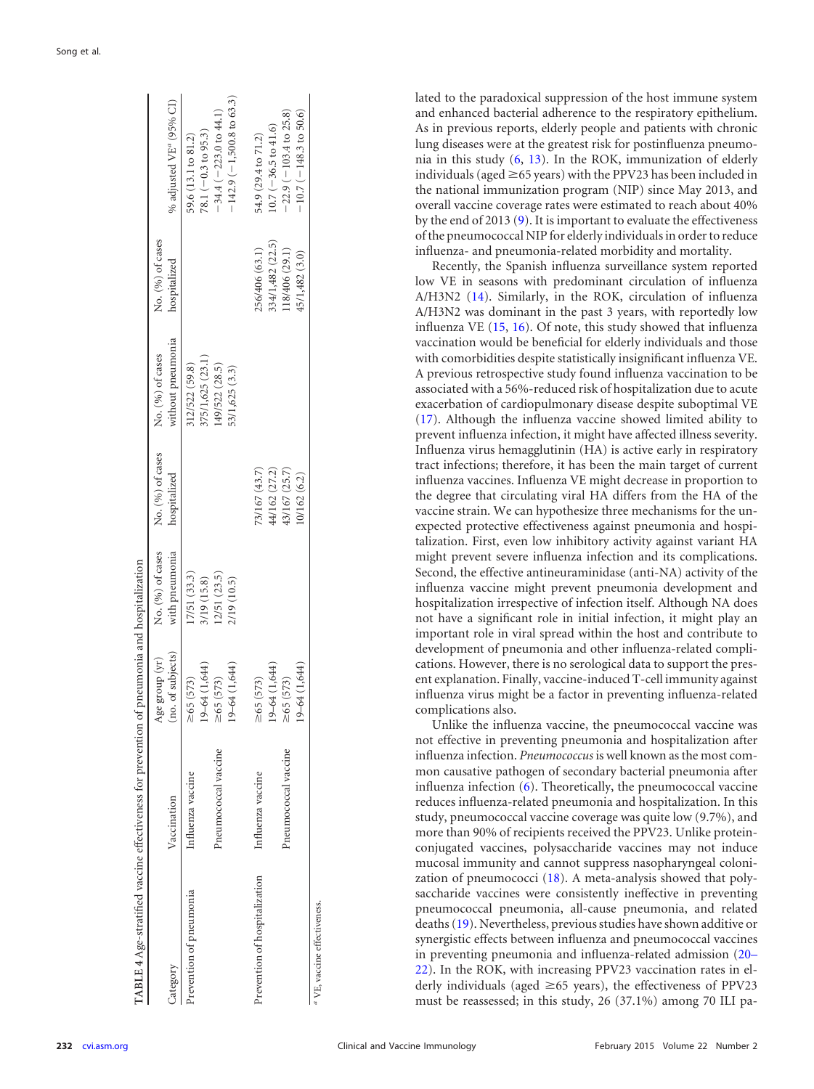| TABLE 4 Age-stratified vaccine effectiveness for prevention of pneumonia and hospitalization |                      |                                     |                                    |                                  |                                       |                                    |                                                                          |
|----------------------------------------------------------------------------------------------|----------------------|-------------------------------------|------------------------------------|----------------------------------|---------------------------------------|------------------------------------|--------------------------------------------------------------------------|
| ategory                                                                                      | Vaccination          | (no. of subjects)<br>Age group (yr) | No. (%) of cases<br>with pneumonia | No. (%) of cases<br>hospitalized | without pneumonia<br>No. (%) of cases | No. (%) of cases<br>hospitalized   | % adjusted VE <sup>a</sup> (95% CI)                                      |
| Prevention of pneumonia                                                                      | Influenza vaccine    | 19-64 (1,644)<br>65 (573)           | 17/51 (33.3)<br>3/19 (15.8)        |                                  | 375/1,625 (23.1)<br>312/522 (59.8)    |                                    | 78.1 $(-0.3$ to 95.3)<br>59.6 (13.1 to 81.2)                             |
|                                                                                              | Pneumococcal vaccine | $19 - 64(1, 644)$<br>$\geq 65(573)$ | (23.5)<br>2/19 (10.5)              |                                  | (49/522 (28.5)<br>53/1,625 (3.3)      |                                    | $-142.9(-1,500.8 \text{ to } 63.3)$<br>$-34.4 (-223.0 \text{ to } 44.1)$ |
| Prevention of hospitalization                                                                | Influenza vaccine    | $19 - 64(1, 644)$<br>$\geq 65(573)$ |                                    | 73/167 (43.7)<br>44/162 (27.2)   |                                       | 334/1,482 (22.5)<br>256/406 (63.1) | $0.7 (-36.5$ to $41.6)$<br>54.9 (29.4 to 71.2)                           |
|                                                                                              | Pneumococcal vaccine | 19-64 (1,644)<br>$\geq 65(573)$     |                                    | 43/167 (25.7)<br>10/162 (6.2)    |                                       | (18/406 (29.1)<br>45/1,482 (3.0)   | $-22.9(-103.4 \text{ to } 25.8)$<br>$-10.7(-148.3 \text{ to } 50.6)$     |
| <sup>1</sup> VE, vaccine effectiveness.                                                      |                      |                                     |                                    |                                  |                                       |                                    |                                                                          |

lated to the paradoxical suppression of the host immune system and enhanced bacterial adherence to the respiratory epithelium. As in previous reports, elderly people and patients with chronic lung diseases were at the greatest risk for postinfluenza pneumonia in this study [\(6,](#page-4-5) [13\)](#page-4-13). In the ROK, immunization of elderly individuals (aged  $\geq$ 65 years) with the PPV23 has been included in the national immunization program (NIP) since May 2013, and overall vaccine coverage rates were estimated to reach about 40% by the end of 2013 [\(9\)](#page-4-8). It is important to evaluate the effectiveness of the pneumococcal NIP for elderly individuals in order to reduce influenza- and pneumonia-related morbidity and mortality.

Recently, the Spanish influenza surveillance system reported low VE in seasons with predominant circulation of influenza A/H3N2 [\(14\)](#page-4-14). Similarly, in the ROK, circulation of influenza A/H3N2 was dominant in the past 3 years, with reportedly low influenza VE [\(15,](#page-5-0) [16\)](#page-5-1). Of note, this study showed that influenza vaccination would be beneficial for elderly individuals and those with comorbidities despite statistically insignificant influenza VE. A previous retrospective study found influenza vaccination to be associated with a 56%-reduced risk of hospitalization due to acute exacerbation of cardiopulmonary disease despite suboptimal VE [\(17\)](#page-5-2). Although the influenza vaccine showed limited ability to prevent influenza infection, it might have affected illness severity. Influenza virus hemagglutinin (HA) is active early in respiratory tract infections; therefore, it has been the main target of current influenza vaccines. Influenza VE might decrease in proportion to the degree that circulating viral HA differs from the HA of the vaccine strain. We can hypothesize three mechanisms for the unexpected protective effectiveness against pneumonia and hospitalization. First, even low inhibitory activity against variant HA might prevent severe influenza infection and its complications. Second, the effective antineuraminidase (anti-NA) activity of the influenza vaccine might prevent pneumonia development and hospitalization irrespective of infection itself. Although NA does not have a significant role in initial infection, it might play an important role in viral spread within the host and contribute to development of pneumonia and other influenza-related complications. However, there is no serological data to support the present explanation. Finally, vaccine-induced T-cell immunity against influenza virus might be a factor in preventing influenza-related complications also.

<span id="page-3-0"></span>Unlike the influenza vaccine, the pneumococcal vaccine was not effective in preventing pneumonia and hospitalization after influenza infection. *Pneumococcus* is well known as the most common causative pathogen of secondary bacterial pneumonia after influenza infection [\(6\)](#page-4-5). Theoretically, the pneumococcal vaccine reduces influenza-related pneumonia and hospitalization. In this study, pneumococcal vaccine coverage was quite low (9.7%), and more than 90% of recipients received the PPV23. Unlike proteinconjugated vaccines, polysaccharide vaccines may not induce mucosal immunity and cannot suppress nasopharyngeal colonization of pneumococci [\(18\)](#page-5-3). A meta-analysis showed that polysaccharide vaccines were consistently ineffective in preventing pneumococcal pneumonia, all-cause pneumonia, and related deaths [\(19\)](#page-5-4). Nevertheless, previous studies have shown additive or synergistic effects between influenza and pneumococcal vaccines in preventing pneumonia and influenza-related admission [\(20](#page-5-5)[–](#page-5-6) [22\)](#page-5-7). In the ROK, with increasing PPV23 vaccination rates in elderly individuals (aged ≥65 years), the effectiveness of PPV23 must be reassessed; in this study, 26 (37.1%) among 70 ILI pa-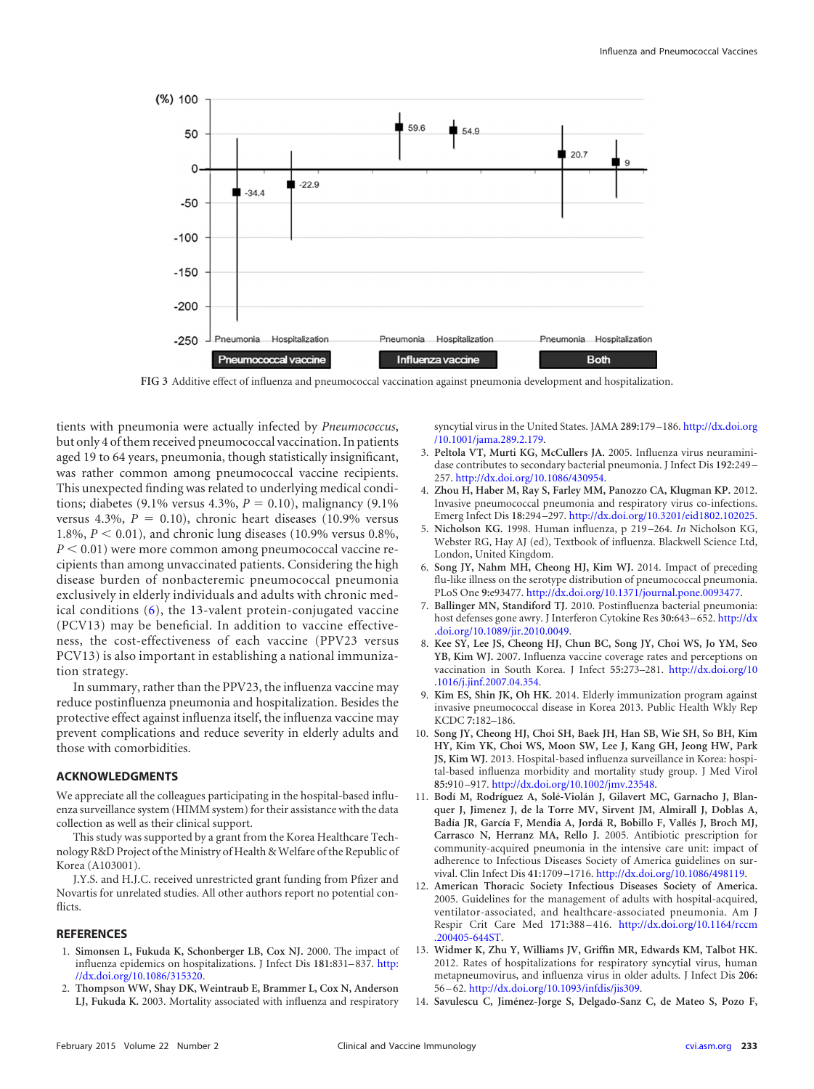

<span id="page-4-12"></span>**FIG 3** Additive effect of influenza and pneumococcal vaccination against pneumonia development and hospitalization.

tients with pneumonia were actually infected by *Pneumococcus*, but only 4 of them received pneumococcal vaccination. In patients aged 19 to 64 years, pneumonia, though statistically insignificant, was rather common among pneumococcal vaccine recipients. This unexpected finding was related to underlying medical conditions; diabetes (9.1% versus 4.3%,  $P = 0.10$ ), malignancy (9.1%) versus 4.3%,  $P = 0.10$ ), chronic heart diseases (10.9% versus 1.8%,  $P < 0.01$ ), and chronic lung diseases (10.9% versus 0.8%,  $P < 0.01$ ) were more common among pneumococcal vaccine recipients than among unvaccinated patients. Considering the high disease burden of nonbacteremic pneumococcal pneumonia exclusively in elderly individuals and adults with chronic medical conditions [\(6\)](#page-4-5), the 13-valent protein-conjugated vaccine (PCV13) may be beneficial. In addition to vaccine effectiveness, the cost-effectiveness of each vaccine (PPV23 versus PCV13) is also important in establishing a national immunization strategy.

In summary, rather than the PPV23, the influenza vaccine may reduce postinfluenza pneumonia and hospitalization. Besides the protective effect against influenza itself, the influenza vaccine may prevent complications and reduce severity in elderly adults and those with comorbidities.

### **ACKNOWLEDGMENTS**

We appreciate all the colleagues participating in the hospital-based influenza surveillance system (HIMM system) for their assistance with the data collection as well as their clinical support.

This study was supported by a grant from the Korea Healthcare Technology R&D Project of the Ministry of Health & Welfare of the Republic of Korea (A103001).

J.Y.S. and H.J.C. received unrestricted grant funding from Pfizer and Novartis for unrelated studies. All other authors report no potential conflicts.

#### <span id="page-4-0"></span>**REFERENCES**

- <span id="page-4-1"></span>1. **Simonsen L, Fukuda K, Schonberger LB, Cox NJ.** 2000. The impact of influenza epidemics on hospitalizations. J Infect Dis **181:**831–837. [http:](http://dx.doi.org/10.1086/315320) [//dx.doi.org/10.1086/315320.](http://dx.doi.org/10.1086/315320)
- 2. **Thompson WW, Shay DK, Weintraub E, Brammer L, Cox N, Anderson LJ, Fukuda K.** 2003. Mortality associated with influenza and respiratory

syncytial virus in the United States. JAMA **289:**179 –186. [http://dx.doi.org](http://dx.doi.org/10.1001/jama.289.2.179) [/10.1001/jama.289.2.179.](http://dx.doi.org/10.1001/jama.289.2.179)

- <span id="page-4-2"></span>3. **Peltola VT, Murti KG, McCullers JA.** 2005. Influenza virus neuraminidase contributes to secondary bacterial pneumonia. J Infect Dis **192:**249 – 257. [http://dx.doi.org/10.1086/430954.](http://dx.doi.org/10.1086/430954)
- <span id="page-4-3"></span>4. **Zhou H, Haber M, Ray S, Farley MM, Panozzo CA, Klugman KP.** 2012. Invasive pneumococcal pneumonia and respiratory virus co-infections. Emerg Infect Dis **18:**294 –297. [http://dx.doi.org/10.3201/eid1802.102025.](http://dx.doi.org/10.3201/eid1802.102025)
- <span id="page-4-4"></span>5. **Nicholson KG.** 1998. Human influenza, p 219 –264. *In* Nicholson KG, Webster RG, Hay AJ (ed), Textbook of influenza. Blackwell Science Ltd, London, United Kingdom.
- <span id="page-4-5"></span>6. **Song JY, Nahm MH, Cheong HJ, Kim WJ.** 2014. Impact of preceding flu-like illness on the serotype distribution of pneumococcal pneumonia. PLoS One **9:**e93477. [http://dx.doi.org/10.1371/journal.pone.0093477.](http://dx.doi.org/10.1371/journal.pone.0093477)
- <span id="page-4-6"></span>7. **Ballinger MN, Standiford TJ.** 2010. Postinfluenza bacterial pneumonia: host defenses gone awry. J Interferon Cytokine Res **30:**643–652. [http://dx](http://dx.doi.org/10.1089/jir.2010.0049) [.doi.org/10.1089/jir.2010.0049.](http://dx.doi.org/10.1089/jir.2010.0049)
- <span id="page-4-7"></span>8. **Kee SY, Lee JS, Cheong HJ, Chun BC, Song JY, Choi WS, Jo YM, Seo YB, Kim WJ.** 2007. Influenza vaccine coverage rates and perceptions on vaccination in South Korea. J Infect **55:**273–281. [http://dx.doi.org/10](http://dx.doi.org/10.1016/j.jinf.2007.04.354) [.1016/j.jinf.2007.04.354.](http://dx.doi.org/10.1016/j.jinf.2007.04.354)
- <span id="page-4-8"></span>9. **Kim ES, Shin JK, Oh HK.** 2014. Elderly immunization program against invasive pneumococcal disease in Korea 2013. Public Health Wkly Rep KCDC **7:**182–186.
- <span id="page-4-9"></span>10. **Song JY, Cheong HJ, Choi SH, Baek JH, Han SB, Wie SH, So BH, Kim HY, Kim YK, Choi WS, Moon SW, Lee J, Kang GH, Jeong HW, Park JS, Kim WJ.** 2013. Hospital-based influenza surveillance in Korea: hospital-based influenza morbidity and mortality study group. J Med Virol **85:**910 –917. [http://dx.doi.org/10.1002/jmv.23548.](http://dx.doi.org/10.1002/jmv.23548)
- <span id="page-4-10"></span>11. **Bodí M, Rodríguez A, Solé-Violán J, Gilavert MC, Garnacho J, Blanquer J, Jimenez J, de la Torre MV, Sirvent JM, Almirall J, Doblas A, Badía JR, García F, Mendia A, Jordá R, Bobillo F, Vallés J, Broch MJ, Carrasco N, Herranz MA, Rello J.** 2005. Antibiotic prescription for community-acquired pneumonia in the intensive care unit: impact of adherence to Infectious Diseases Society of America guidelines on survival. Clin Infect Dis **41:**1709 –1716. [http://dx.doi.org/10.1086/498119.](http://dx.doi.org/10.1086/498119)
- <span id="page-4-11"></span>12. **American Thoracic Society Infectious Diseases Society of America.** 2005. Guidelines for the management of adults with hospital-acquired, ventilator-associated, and healthcare-associated pneumonia. Am J Respir Crit Care Med **171:**388 –416. [http://dx.doi.org/10.1164/rccm](http://dx.doi.org/10.1164/rccm.200405-644ST) [.200405-644ST.](http://dx.doi.org/10.1164/rccm.200405-644ST)
- <span id="page-4-13"></span>13. **Widmer K, Zhu Y, Williams JV, Griffin MR, Edwards KM, Talbot HK.** 2012. Rates of hospitalizations for respiratory syncytial virus, human metapneumovirus, and influenza virus in older adults. J Infect Dis **206:** 56 –62. [http://dx.doi.org/10.1093/infdis/jis309.](http://dx.doi.org/10.1093/infdis/jis309)
- <span id="page-4-14"></span>14. **Savulescu C, Jiménez-Jorge S, Delgado-Sanz C, de Mateo S, Pozo F,**